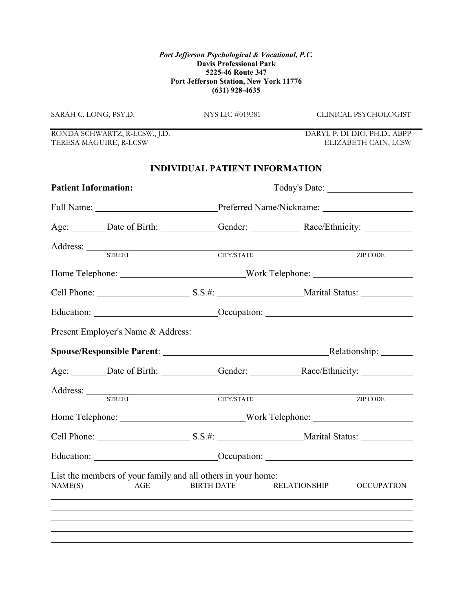SARAH C. LONG, PSY.D. NYS LIC #019381 CLINICAL PSYCHOLOGIST

RONDA SCHWARTZ, R-LCSW., J.D. DARYL P. DI DIO, PH.D., ABPP TERESA MAGUIRE, R-LCSW

#### INDIVIDUAL PATIENT INFORMATION

| <b>Patient Information:</b> |                                                                                                                                                                                              |                   |                                |                     |                   |  |
|-----------------------------|----------------------------------------------------------------------------------------------------------------------------------------------------------------------------------------------|-------------------|--------------------------------|---------------------|-------------------|--|
|                             |                                                                                                                                                                                              |                   |                                |                     |                   |  |
|                             |                                                                                                                                                                                              |                   |                                |                     |                   |  |
|                             |                                                                                                                                                                                              |                   | $\overline{\text{CITY/STATE}}$ |                     | <b>ZIP CODE</b>   |  |
|                             |                                                                                                                                                                                              |                   |                                |                     |                   |  |
|                             |                                                                                                                                                                                              |                   |                                |                     |                   |  |
|                             |                                                                                                                                                                                              |                   |                                |                     |                   |  |
|                             |                                                                                                                                                                                              |                   |                                |                     |                   |  |
|                             |                                                                                                                                                                                              |                   |                                |                     |                   |  |
|                             | Age: ________Date of Birth: ____________Gender: _________________________________                                                                                                            |                   |                                |                     |                   |  |
|                             | Address: STREET CITY/STATE                                                                                                                                                                   |                   |                                |                     | ZIP CODE          |  |
|                             |                                                                                                                                                                                              |                   |                                |                     |                   |  |
|                             |                                                                                                                                                                                              |                   |                                |                     |                   |  |
|                             | Education: <u>Cocupation:</u> Cocupation: Cocupation:                                                                                                                                        |                   |                                |                     |                   |  |
| NAME(S)                     | List the members of your family and all others in your home:<br>AGE<br><u> 1989 - Johann Stoff, deutscher Stoffen und der Stoffen und der Stoffen und der Stoffen und der Stoffen und de</u> | <b>BIRTH DATE</b> |                                | <b>RELATIONSHIP</b> | <b>OCCUPATION</b> |  |
|                             |                                                                                                                                                                                              |                   |                                |                     |                   |  |
|                             |                                                                                                                                                                                              |                   |                                |                     |                   |  |
|                             |                                                                                                                                                                                              |                   |                                |                     |                   |  |
|                             |                                                                                                                                                                                              |                   |                                |                     |                   |  |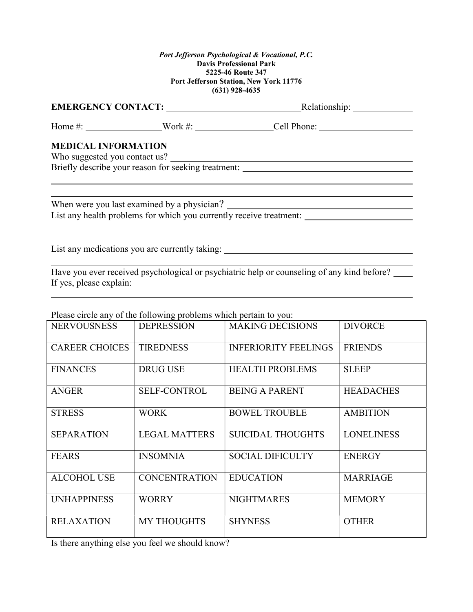|                            |  | Home #: _____________________Work #: ___________________Cell Phone: ________________________________ |  |  |
|----------------------------|--|------------------------------------------------------------------------------------------------------|--|--|
| <b>MEDICAL INFORMATION</b> |  | Who suggested you contact us?                                                                        |  |  |
|                            |  | Briefly describe your reason for seeking treatment: ____________________________                     |  |  |
|                            |  |                                                                                                      |  |  |
|                            |  |                                                                                                      |  |  |
|                            |  | List any health problems for which you currently receive treatment:                                  |  |  |
|                            |  |                                                                                                      |  |  |
|                            |  |                                                                                                      |  |  |
|                            |  | List any medications you are currently taking: _________________________________                     |  |  |

Have you ever received psychological or psychiatric help or counseling of any kind before? If yes, please explain:

Please circle any of the following problems which pertain to you:

| <b>NERVOUSNESS</b>    | <b>DEPRESSION</b>    | <b>MAKING DECISIONS</b>     | <b>DIVORCE</b>    |
|-----------------------|----------------------|-----------------------------|-------------------|
| <b>CAREER CHOICES</b> | <b>TIREDNESS</b>     | <b>INFERIORITY FEELINGS</b> | <b>FRIENDS</b>    |
| <b>FINANCES</b>       | <b>DRUG USE</b>      | <b>HEALTH PROBLEMS</b>      | <b>SLEEP</b>      |
| <b>ANGER</b>          | <b>SELF-CONTROL</b>  | <b>BEING A PARENT</b>       | <b>HEADACHES</b>  |
| <b>STRESS</b>         | <b>WORK</b>          | <b>BOWEL TROUBLE</b>        | <b>AMBITION</b>   |
| <b>SEPARATION</b>     | <b>LEGAL MATTERS</b> | <b>SUICIDAL THOUGHTS</b>    | <b>LONELINESS</b> |
| <b>FEARS</b>          | <b>INSOMNIA</b>      | <b>SOCIAL DIFICULTY</b>     | <b>ENERGY</b>     |
| <b>ALCOHOL USE</b>    | <b>CONCENTRATION</b> | <b>EDUCATION</b>            | <b>MARRIAGE</b>   |
| <b>UNHAPPINESS</b>    | <b>WORRY</b>         | <b>NIGHTMARES</b>           | <b>MEMORY</b>     |
| <b>RELAXATION</b>     | <b>MY THOUGHTS</b>   | <b>SHYNESS</b>              | <b>OTHER</b>      |

Is there anything else you feel we should know?

 $\overline{a}$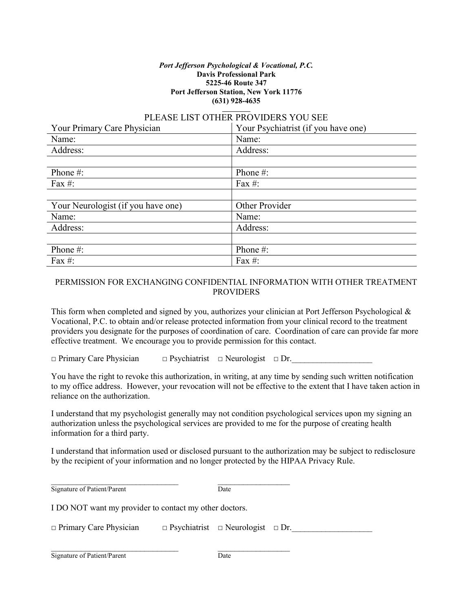#### PLEASE LIST OTHER PROVIDERS YOU SEE

| Your Primary Care Physician        | Your Psychiatrist (if you have one) |
|------------------------------------|-------------------------------------|
| Name:                              | Name:                               |
| Address:                           | Address:                            |
|                                    |                                     |
| Phone #:                           | Phone $#$ :                         |
| Fax #:                             | Fax $#$ :                           |
|                                    |                                     |
| Your Neurologist (if you have one) | Other Provider                      |
| Name:                              | Name:                               |
| Address:                           | Address:                            |
|                                    |                                     |
| Phone #:                           | Phone #:                            |
| Fax $#$ :                          | Fax $#$ :                           |

#### PERMISSION FOR EXCHANGING CONFIDENTIAL INFORMATION WITH OTHER TREATMENT PROVIDERS

This form when completed and signed by you, authorizes your clinician at Port Jefferson Psychological & Vocational, P.C. to obtain and/or release protected information from your clinical record to the treatment providers you designate for the purposes of coordination of care. Coordination of care can provide far more effective treatment. We encourage you to provide permission for this contact.

 $\Box$  Primary Care Physician  $\Box$  Psychiatrist  $\Box$  Neurologist  $\Box$  Dr.

You have the right to revoke this authorization, in writing, at any time by sending such written notification to my office address. However, your revocation will not be effective to the extent that I have taken action in reliance on the authorization.

I understand that my psychologist generally may not condition psychological services upon my signing an authorization unless the psychological services are provided to me for the purpose of creating health information for a third party.

I understand that information used or disclosed pursuant to the authorization may be subject to redisclosure by the recipient of your information and no longer protected by the HIPAA Privacy Rule.

| Signature of Patient/Parent                            | Date                                              |  |  |  |
|--------------------------------------------------------|---------------------------------------------------|--|--|--|
| I DO NOT want my provider to contact my other doctors. |                                                   |  |  |  |
| $\Box$ Primary Care Physician                          | $\Box$ Psychiatrist $\Box$ Neurologist $\Box$ Dr. |  |  |  |
|                                                        |                                                   |  |  |  |

Signature of Patient/Parent Date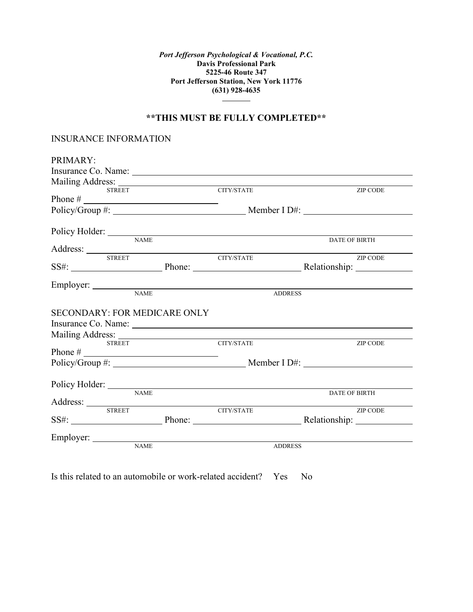#### \*\*THIS MUST BE FULLY COMPLETED\*\*

#### INSURANCE INFORMATION

| PRIMARY:                            |             |                                                                                                                                                                                                                                |                      |
|-------------------------------------|-------------|--------------------------------------------------------------------------------------------------------------------------------------------------------------------------------------------------------------------------------|----------------------|
|                                     |             |                                                                                                                                                                                                                                |                      |
|                                     |             |                                                                                                                                                                                                                                |                      |
| <b>STREET</b>                       |             | CITY/STATE                                                                                                                                                                                                                     | <b>ZIP CODE</b>      |
|                                     |             |                                                                                                                                                                                                                                |                      |
|                                     |             |                                                                                                                                                                                                                                |                      |
|                                     |             |                                                                                                                                                                                                                                |                      |
| Policy Holder: NAME                 |             |                                                                                                                                                                                                                                |                      |
|                                     |             |                                                                                                                                                                                                                                | <b>DATE OF BIRTH</b> |
| <b>STREET</b>                       |             |                                                                                                                                                                                                                                | <b>ZIP CODE</b>      |
|                                     |             | CITY/STATE                                                                                                                                                                                                                     |                      |
|                                     |             |                                                                                                                                                                                                                                |                      |
|                                     |             |                                                                                                                                                                                                                                |                      |
|                                     |             | Employer: NAME<br><b>ADDRESS</b>                                                                                                                                                                                               |                      |
|                                     |             |                                                                                                                                                                                                                                |                      |
| <b>SECONDARY: FOR MEDICARE ONLY</b> |             |                                                                                                                                                                                                                                |                      |
|                                     |             | Insurance Co. Name: 1988. [19] Manual Assembly Co. Name: 1988. [19] Manual Assembly Co. Name: 1988. [19] Manual Assembly Co. 2014. [19] Manual Assembly Co. 2014. [19] Manual Assembly Co. 2014. [19] Manual Assembly Co. 2014 |                      |
|                                     |             |                                                                                                                                                                                                                                |                      |
| <b>STREET</b>                       |             | <b>CITY/STATE</b>                                                                                                                                                                                                              | ZIP CODE             |
|                                     |             |                                                                                                                                                                                                                                |                      |
|                                     |             |                                                                                                                                                                                                                                |                      |
|                                     |             |                                                                                                                                                                                                                                |                      |
|                                     |             |                                                                                                                                                                                                                                |                      |
|                                     | <b>NAME</b> |                                                                                                                                                                                                                                | <b>DATE OF BIRTH</b> |
|                                     |             |                                                                                                                                                                                                                                |                      |
| <b>STREET</b>                       |             | CITY/STATE                                                                                                                                                                                                                     | ZIP CODE             |
|                                     |             |                                                                                                                                                                                                                                |                      |
|                                     |             |                                                                                                                                                                                                                                |                      |
| Employer: NAME                      |             | <b>ADDRESS</b>                                                                                                                                                                                                                 |                      |
|                                     |             |                                                                                                                                                                                                                                |                      |

Is this related to an automobile or work-related accident? Yes No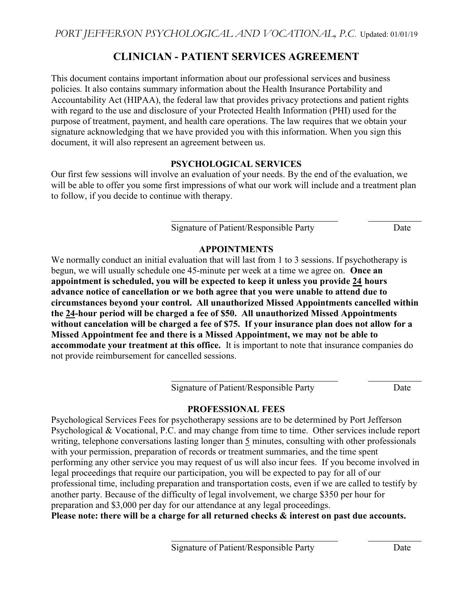# CLINICIAN - PATIENT SERVICES AGREEMENT

This document contains important information about our professional services and business policies. It also contains summary information about the Health Insurance Portability and Accountability Act (HIPAA), the federal law that provides privacy protections and patient rights with regard to the use and disclosure of your Protected Health Information (PHI) used for the purpose of treatment, payment, and health care operations. The law requires that we obtain your signature acknowledging that we have provided you with this information. When you sign this document, it will also represent an agreement between us.

## PSYCHOLOGICAL SERVICES

Our first few sessions will involve an evaluation of your needs. By the end of the evaluation, we will be able to offer you some first impressions of what our work will include and a treatment plan to follow, if you decide to continue with therapy.

l

l

l

Signature of Patient/Responsible Party Date

## APPOINTMENTS

We normally conduct an initial evaluation that will last from 1 to 3 sessions. If psychotherapy is begun, we will usually schedule one 45-minute per week at a time we agree on. Once an appointment is scheduled, you will be expected to keep it unless you provide 24 hours advance notice of cancellation or we both agree that you were unable to attend due to circumstances beyond your control. All unauthorized Missed Appointments cancelled within the 24-hour period will be charged a fee of \$50. All unauthorized Missed Appointments without cancelation will be charged a fee of \$75. If your insurance plan does not allow for a Missed Appointment fee and there is a Missed Appointment, we may not be able to accommodate your treatment at this office. It is important to note that insurance companies do not provide reimbursement for cancelled sessions.

Signature of Patient/Responsible Party Date

## PROFESSIONAL FEES

Psychological Services Fees for psychotherapy sessions are to be determined by Port Jefferson Psychological & Vocational, P.C. and may change from time to time. Other services include report writing, telephone conversations lasting longer than 5 minutes, consulting with other professionals with your permission, preparation of records or treatment summaries, and the time spent performing any other service you may request of us will also incur fees. If you become involved in legal proceedings that require our participation, you will be expected to pay for all of our professional time, including preparation and transportation costs, even if we are called to testify by another party. Because of the difficulty of legal involvement, we charge \$350 per hour for preparation and \$3,000 per day for our attendance at any legal proceedings. Please note: there will be a charge for all returned checks & interest on past due accounts.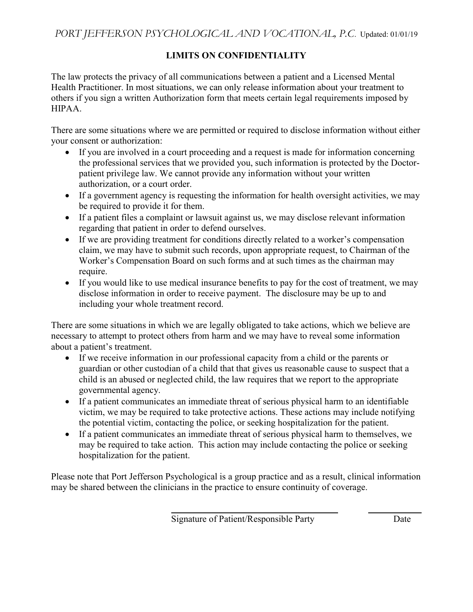# LIMITS ON CONFIDENTIALITY

The law protects the privacy of all communications between a patient and a Licensed Mental Health Practitioner. In most situations, we can only release information about your treatment to others if you sign a written Authorization form that meets certain legal requirements imposed by HIPAA.

There are some situations where we are permitted or required to disclose information without either your consent or authorization:

- If you are involved in a court proceeding and a request is made for information concerning the professional services that we provided you, such information is protected by the Doctorpatient privilege law. We cannot provide any information without your written authorization, or a court order.
- If a government agency is requesting the information for health oversight activities, we may be required to provide it for them.
- If a patient files a complaint or lawsuit against us, we may disclose relevant information regarding that patient in order to defend ourselves.
- If we are providing treatment for conditions directly related to a worker's compensation claim, we may have to submit such records, upon appropriate request, to Chairman of the Worker's Compensation Board on such forms and at such times as the chairman may require.
- If you would like to use medical insurance benefits to pay for the cost of treatment, we may disclose information in order to receive payment. The disclosure may be up to and including your whole treatment record.

There are some situations in which we are legally obligated to take actions, which we believe are necessary to attempt to protect others from harm and we may have to reveal some information about a patient's treatment.

- If we receive information in our professional capacity from a child or the parents or guardian or other custodian of a child that that gives us reasonable cause to suspect that a child is an abused or neglected child, the law requires that we report to the appropriate governmental agency.
- If a patient communicates an immediate threat of serious physical harm to an identifiable victim, we may be required to take protective actions. These actions may include notifying the potential victim, contacting the police, or seeking hospitalization for the patient.
- If a patient communicates an immediate threat of serious physical harm to themselves, we may be required to take action. This action may include contacting the police or seeking hospitalization for the patient.

Please note that Port Jefferson Psychological is a group practice and as a result, clinical information may be shared between the clinicians in the practice to ensure continuity of coverage.

l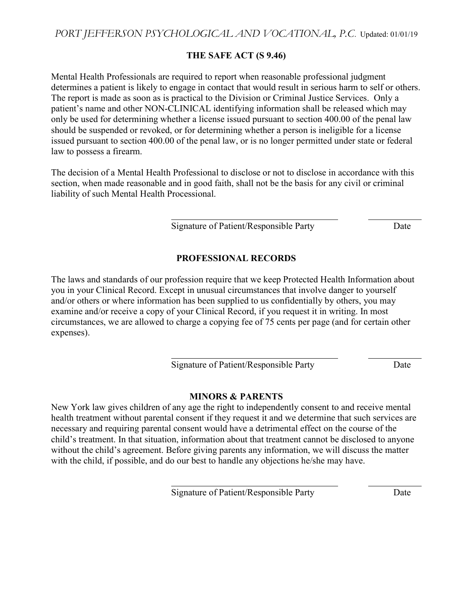PORT JEFFERSON PSYCHOLOGICAL AND VOCATIONAL, P.C. Updated: 01/01/19

#### THE SAFE ACT (S 9.46)

Mental Health Professionals are required to report when reasonable professional judgment determines a patient is likely to engage in contact that would result in serious harm to self or others. The report is made as soon as is practical to the Division or Criminal Justice Services. Only a patient's name and other NON-CLINICAL identifying information shall be released which may only be used for determining whether a license issued pursuant to section 400.00 of the penal law should be suspended or revoked, or for determining whether a person is ineligible for a license issued pursuant to section 400.00 of the penal law, or is no longer permitted under state or federal law to possess a firearm.

The decision of a Mental Health Professional to disclose or not to disclose in accordance with this section, when made reasonable and in good faith, shall not be the basis for any civil or criminal liability of such Mental Health Processional.

l

 $\overline{a}$ 

l

Signature of Patient/Responsible Party Date

## PROFESSIONAL RECORDS

The laws and standards of our profession require that we keep Protected Health Information about you in your Clinical Record. Except in unusual circumstances that involve danger to yourself and/or others or where information has been supplied to us confidentially by others, you may examine and/or receive a copy of your Clinical Record, if you request it in writing. In most circumstances, we are allowed to charge a copying fee of 75 cents per page (and for certain other expenses).

Signature of Patient/Responsible Party Date

#### MINORS & PARENTS

New York law gives children of any age the right to independently consent to and receive mental health treatment without parental consent if they request it and we determine that such services are necessary and requiring parental consent would have a detrimental effect on the course of the child's treatment. In that situation, information about that treatment cannot be disclosed to anyone without the child's agreement. Before giving parents any information, we will discuss the matter with the child, if possible, and do our best to handle any objections he/she may have.

Signature of Patient/Responsible Party Date